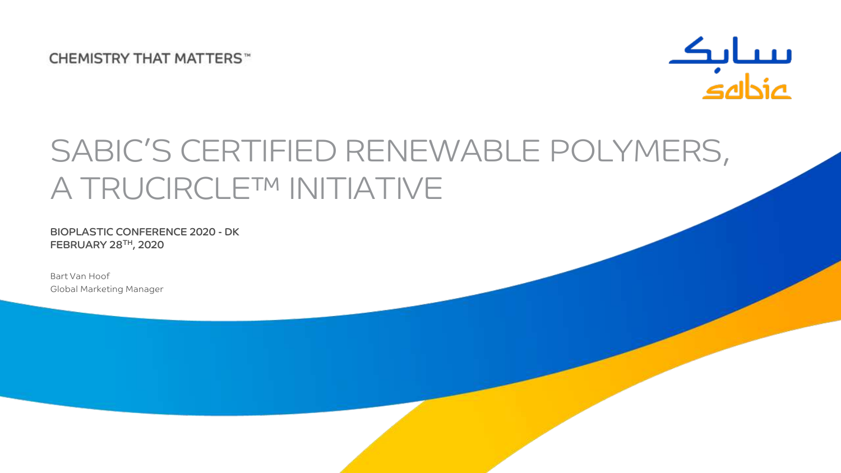**CHEMISTRY THAT MATTERS** 



# SABIC'S CERTIFIED RENEWABLE POLYMERS, A TRUCIRCLE™ INITIATIVE

BIOPLASTIC CONFERENCE 2020 - DK FEBRUARY 28TH, 2020

Bart Van Hoof Global Marketing Manager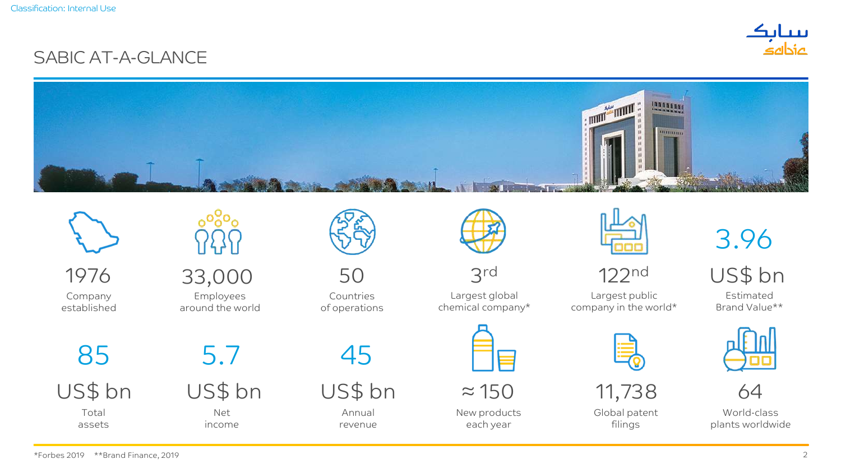

### SABIC AT-A-GLANCE





1976 Company established



33,000 Employees

around the world

50 Countries of operations



3 rd

Largest global chemical company\*



122nd

Largest public company in the world\*



US\$ bn

Estimated Brand Value\*\*

85

US\$ bn

Total assets 5.7

US\$ bn

Net income 45

US\$ bn

Annual revenue



 $≈ 150$ 

New products each year



11,738

Global patent filings

World-class plants worldwide

64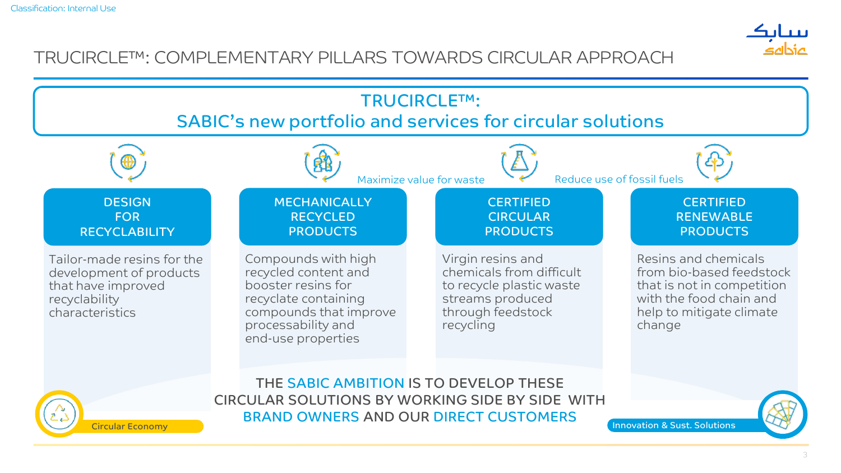

### TRUCIRCLE™: COMPLEMENTARY PILLARS TOWARDS CIRCULAR APPROACH

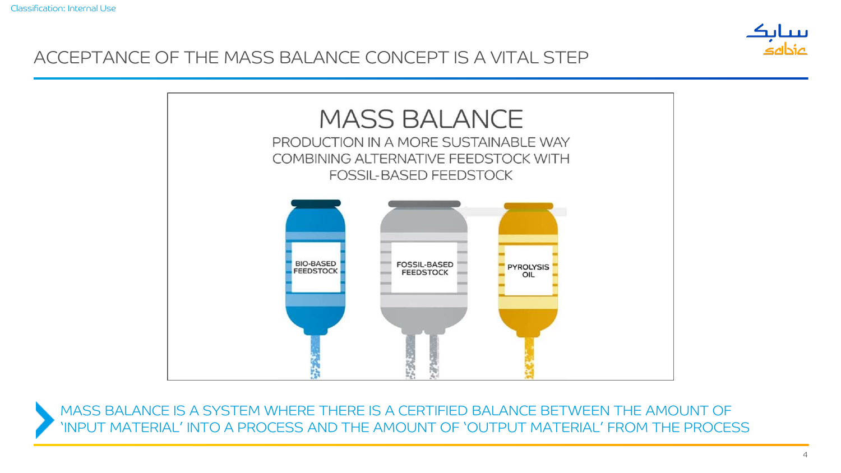

### ACCEPTANCE OF THE MASS BALANCE CONCEPT IS A VITAL STEP



MASS BALANCE IS A SYSTEM WHERE THERE IS A CERTIFIED BALANCE BETWEEN THE AMOUNT OF 'INPUT MATERIAL' INTO A PROCESS AND THE AMOUNT OF 'OUTPUT MATERIAL' FROM THE PROCESS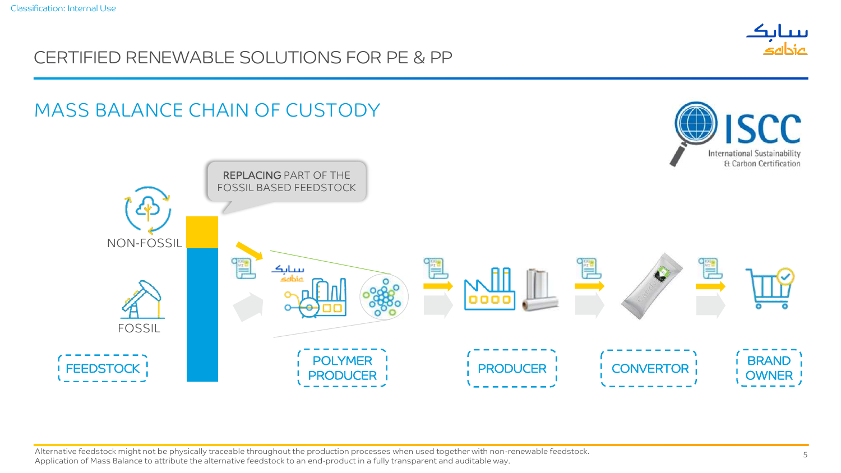### CERTIFIED RENEWABLE SOLUTIONS FOR PE & PP





Alternative feedstock might not be physically traceable throughout the production processes when used together with non-renewable feedstock. Application of Mass Balance to attribute the alternative feedstock to an end-product in a fully transparent and auditable way.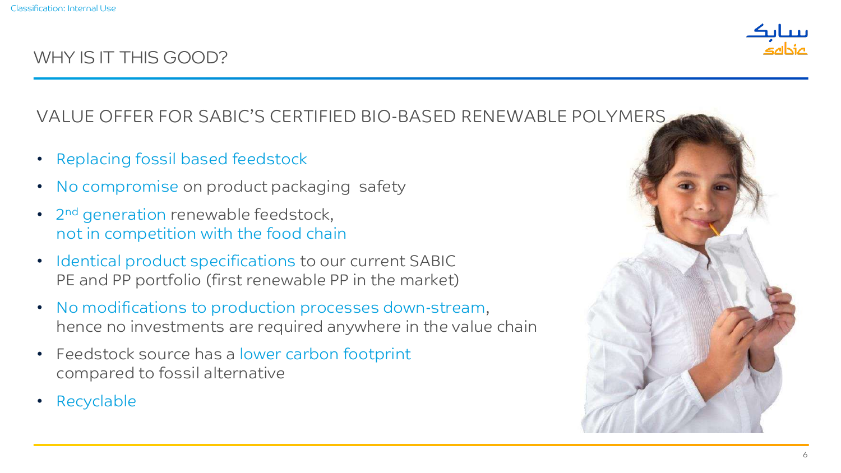# WHY IS IT THIS GOOD?



# VALUE OFFER FOR SABIC'S CERTIFIED BIO-BASED RENEWABLE POLYMERS

- Replacing fossil based feedstock
- No compromise on product packaging safety
- 2<sup>nd</sup> generation renewable feedstock, not in competition with the food chain
- Identical product specifications to our current SABIC PE and PP portfolio (first renewable PP in the market)
- No modifications to production processes down-stream, hence no investments are required anywhere in the value chain
- Feedstock source has a lower carbon footprint compared to fossil alternative
- Recyclable

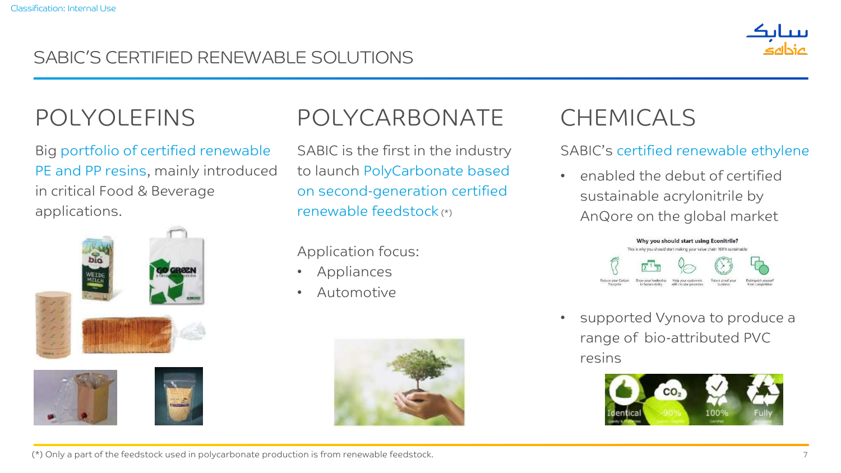

# SABIC'S CERTIFIED RENEWABLE SOLUTIONS

Big portfolio of certified renewable PE and PP resins, mainly introduced in critical Food & Beverage applications.



# POLYOLEFINS POLYCARBONATE CHEMICALS

SABIC is the first in the industry to launch PolyCarbonate based on second-generation certified renewable feedstock (\*)

Application focus:

- **Appliances**
- Automotive



SABIC's certified renewable ethylene

• enabled the debut of certified sustainable acrylonitrile by AnQore on the global market



supported Vynova to produce a range of bio-attributed PVC resins

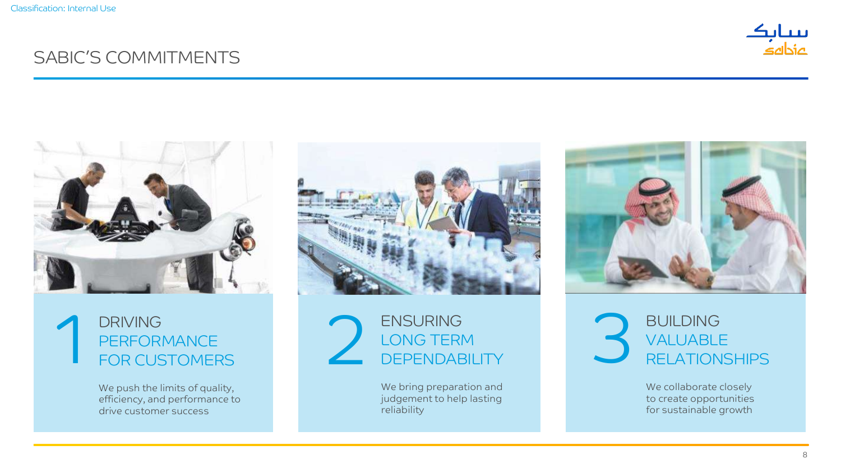### SABIC'S COMMITMENTS







We push the limits of quality, efficiency, and performance to drive customer success





We bring preparation and judgement to help lasting reliability





We collaborate closely to create opportunities for sustainable growth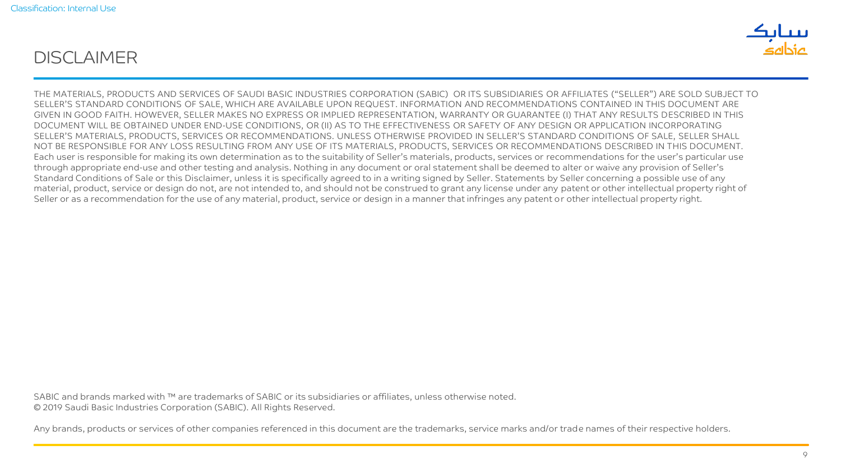# **DISCLAIMER**



THE MATERIALS, PRODUCTS AND SERVICES OF SAUDI BASIC INDUSTRIES CORPORATION (SABIC) OR ITS SUBSIDIARIES OR AFFILIATES ("SELLER") ARE SOLD SUBJECT TO SELLER'S STANDARD CONDITIONS OF SALE, WHICH ARE AVAILABLE UPON REQUEST. INFORMATION AND RECOMMENDATIONS CONTAINED IN THIS DOCUMENT ARE GIVEN IN GOOD FAITH. HOWEVER, SELLER MAKES NO EXPRESS OR IMPLIED REPRESENTATION, WARRANTY OR GUARANTEE (I) THAT ANY RESULTS DESCRIBED IN THIS DOCUMENT WILL BE OBTAINED UNDER END-USE CONDITIONS, OR (II) AS TO THE EFFECTIVENESS OR SAFETY OF ANY DESIGN OR APPLICATION INCORPORATING SELLER'S MATERIALS, PRODUCTS, SERVICES OR RECOMMENDATIONS. UNLESS OTHERWISE PROVIDED IN SELLER'S STANDARD CONDITIONS OF SALE, SELLER SHALL NOT BE RESPONSIBLE FOR ANY LOSS RESULTING FROM ANY USE OF ITS MATERIALS, PRODUCTS, SERVICES OR RECOMMENDATIONS DESCRIBED IN THIS DOCUMENT. Each user is responsible for making its own determination as to the suitability of Seller's materials, products, services or recommendations for the user's particular use through appropriate end-use and other testing and analysis. Nothing in any document or oral statement shall be deemed to alter or waive any provision of Seller's Standard Conditions of Sale or this Disclaimer, unless it is specifically agreed to in a writing signed by Seller. Statements by Seller concerning a possible use of any material, product, service or design do not, are not intended to, and should not be construed to grant any license under any patent or other intellectual property right of Seller or as a recommendation for the use of any material, product, service or design in a manner that infringes any patent or other intellectual property right.

SABIC and brands marked with ™ are trademarks of SABIC or its subsidiaries or affiliates, unless otherwise noted. © 2019 Saudi Basic Industries Corporation (SABIC). All Rights Reserved.

Any brands, products or services of other companies referenced in this document are the trademarks, service marks and/or trade names of their respective holders.